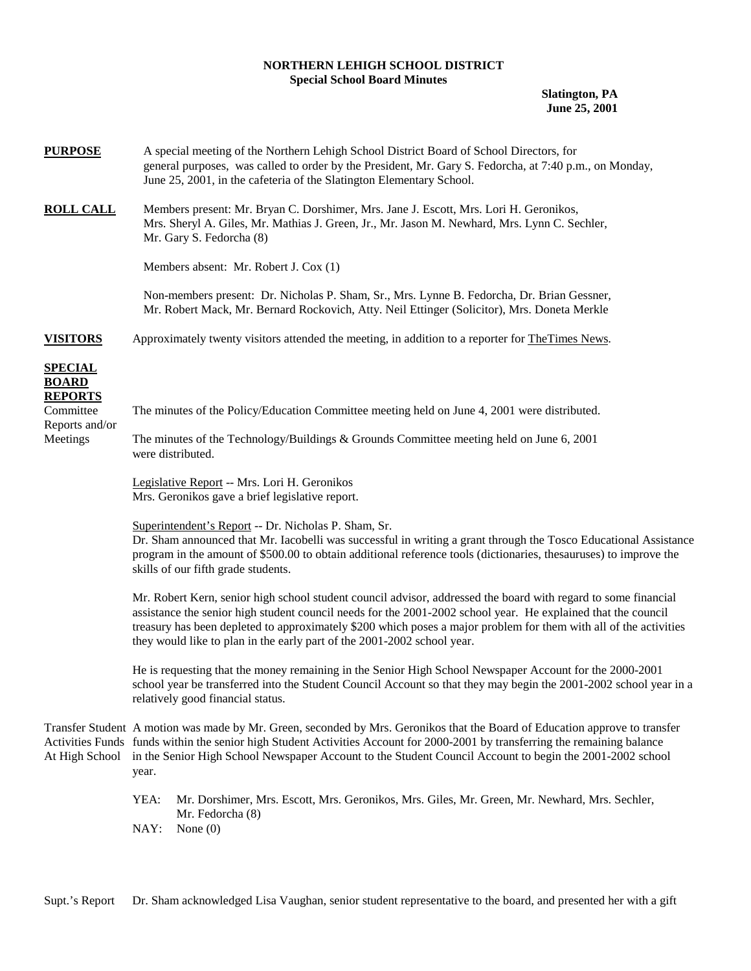## **NORTHERN LEHIGH SCHOOL DISTRICT Special School Board Minutes**

**Slatington, PA June 25, 2001** 

| <b>PURPOSE</b>                                   | A special meeting of the Northern Lehigh School District Board of School Directors, for<br>general purposes, was called to order by the President, Mr. Gary S. Fedorcha, at 7:40 p.m., on Monday,<br>June 25, 2001, in the cafeteria of the Slatington Elementary School.                                                                                                                                                       |  |  |  |  |
|--------------------------------------------------|---------------------------------------------------------------------------------------------------------------------------------------------------------------------------------------------------------------------------------------------------------------------------------------------------------------------------------------------------------------------------------------------------------------------------------|--|--|--|--|
| <b>ROLL CALL</b>                                 | Members present: Mr. Bryan C. Dorshimer, Mrs. Jane J. Escott, Mrs. Lori H. Geronikos,<br>Mrs. Sheryl A. Giles, Mr. Mathias J. Green, Jr., Mr. Jason M. Newhard, Mrs. Lynn C. Sechler,<br>Mr. Gary S. Fedorcha (8)                                                                                                                                                                                                               |  |  |  |  |
|                                                  | Members absent: Mr. Robert J. Cox (1)                                                                                                                                                                                                                                                                                                                                                                                           |  |  |  |  |
|                                                  | Non-members present: Dr. Nicholas P. Sham, Sr., Mrs. Lynne B. Fedorcha, Dr. Brian Gessner,<br>Mr. Robert Mack, Mr. Bernard Rockovich, Atty. Neil Ettinger (Solicitor), Mrs. Doneta Merkle                                                                                                                                                                                                                                       |  |  |  |  |
| <b>VISITORS</b>                                  | Approximately twenty visitors attended the meeting, in addition to a reporter for TheTimes News.                                                                                                                                                                                                                                                                                                                                |  |  |  |  |
| <b>SPECIAL</b><br><b>BOARD</b><br><b>REPORTS</b> |                                                                                                                                                                                                                                                                                                                                                                                                                                 |  |  |  |  |
| Committee<br>Reports and/or<br>Meetings          | The minutes of the Policy/Education Committee meeting held on June 4, 2001 were distributed.                                                                                                                                                                                                                                                                                                                                    |  |  |  |  |
|                                                  | The minutes of the Technology/Buildings $&$ Grounds Committee meeting held on June 6, 2001<br>were distributed.                                                                                                                                                                                                                                                                                                                 |  |  |  |  |
|                                                  | Legislative Report -- Mrs. Lori H. Geronikos<br>Mrs. Geronikos gave a brief legislative report.                                                                                                                                                                                                                                                                                                                                 |  |  |  |  |
|                                                  | Superintendent's Report -- Dr. Nicholas P. Sham, Sr.<br>Dr. Sham announced that Mr. Iacobelli was successful in writing a grant through the Tosco Educational Assistance<br>program in the amount of \$500.00 to obtain additional reference tools (dictionaries, thesauruses) to improve the<br>skills of our fifth grade students.                                                                                            |  |  |  |  |
|                                                  | Mr. Robert Kern, senior high school student council advisor, addressed the board with regard to some financial<br>assistance the senior high student council needs for the 2001-2002 school year. He explained that the council<br>treasury has been depleted to approximately \$200 which poses a major problem for them with all of the activities<br>they would like to plan in the early part of the 2001-2002 school year. |  |  |  |  |
|                                                  | He is requesting that the money remaining in the Senior High School Newspaper Account for the 2000-2001<br>school year be transferred into the Student Council Account so that they may begin the 2001-2002 school year in a<br>relatively good financial status.                                                                                                                                                               |  |  |  |  |
|                                                  | Transfer Student A motion was made by Mr. Green, seconded by Mrs. Geronikos that the Board of Education approve to transfer<br>Activities Funds funds within the senior high Student Activities Account for 2000-2001 by transferring the remaining balance<br>At High School in the Senior High School Newspaper Account to the Student Council Account to begin the 2001-2002 school<br>year.                                 |  |  |  |  |
|                                                  | YEA:<br>Mr. Dorshimer, Mrs. Escott, Mrs. Geronikos, Mrs. Giles, Mr. Green, Mr. Newhard, Mrs. Sechler,<br>Mr. Fedorcha (8)<br>NAY:<br>None $(0)$                                                                                                                                                                                                                                                                                 |  |  |  |  |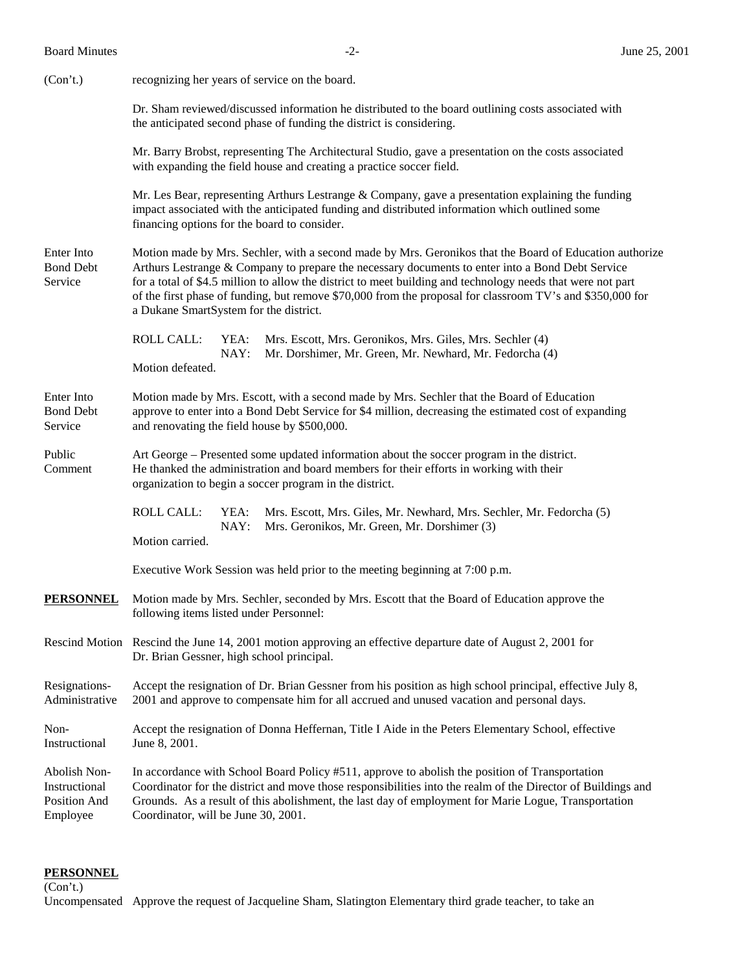| <b>Board Minutes</b> |
|----------------------|
|                      |

| (Con't.)                                                  | recognizing her years of service on the board.                                                                                                                                                                                                                                                                                                                                                                                                                                    |  |  |  |  |  |
|-----------------------------------------------------------|-----------------------------------------------------------------------------------------------------------------------------------------------------------------------------------------------------------------------------------------------------------------------------------------------------------------------------------------------------------------------------------------------------------------------------------------------------------------------------------|--|--|--|--|--|
|                                                           | Dr. Sham reviewed/discussed information he distributed to the board outlining costs associated with<br>the anticipated second phase of funding the district is considering.                                                                                                                                                                                                                                                                                                       |  |  |  |  |  |
|                                                           | Mr. Barry Brobst, representing The Architectural Studio, gave a presentation on the costs associated<br>with expanding the field house and creating a practice soccer field.                                                                                                                                                                                                                                                                                                      |  |  |  |  |  |
|                                                           | Mr. Les Bear, representing Arthurs Lestrange & Company, gave a presentation explaining the funding<br>impact associated with the anticipated funding and distributed information which outlined some<br>financing options for the board to consider.                                                                                                                                                                                                                              |  |  |  |  |  |
| Enter Into<br><b>Bond Debt</b><br>Service                 | Motion made by Mrs. Sechler, with a second made by Mrs. Geronikos that the Board of Education authorize<br>Arthurs Lestrange & Company to prepare the necessary documents to enter into a Bond Debt Service<br>for a total of \$4.5 million to allow the district to meet building and technology needs that were not part<br>of the first phase of funding, but remove \$70,000 from the proposal for classroom TV's and \$350,000 for<br>a Dukane SmartSystem for the district. |  |  |  |  |  |
|                                                           | <b>ROLL CALL:</b><br>YEA:<br>Mrs. Escott, Mrs. Geronikos, Mrs. Giles, Mrs. Sechler (4)<br>NAY:<br>Mr. Dorshimer, Mr. Green, Mr. Newhard, Mr. Fedorcha (4)<br>Motion defeated.                                                                                                                                                                                                                                                                                                     |  |  |  |  |  |
| Enter Into<br><b>Bond Debt</b><br>Service                 | Motion made by Mrs. Escott, with a second made by Mrs. Sechler that the Board of Education<br>approve to enter into a Bond Debt Service for \$4 million, decreasing the estimated cost of expanding<br>and renovating the field house by \$500,000.                                                                                                                                                                                                                               |  |  |  |  |  |
| Public<br>Comment                                         | Art George – Presented some updated information about the soccer program in the district.<br>He thanked the administration and board members for their efforts in working with their<br>organization to begin a soccer program in the district.                                                                                                                                                                                                                                   |  |  |  |  |  |
|                                                           | <b>ROLL CALL:</b><br>Mrs. Escott, Mrs. Giles, Mr. Newhard, Mrs. Sechler, Mr. Fedorcha (5)<br>YEA:<br>NAY:<br>Mrs. Geronikos, Mr. Green, Mr. Dorshimer (3)<br>Motion carried.                                                                                                                                                                                                                                                                                                      |  |  |  |  |  |
|                                                           | Executive Work Session was held prior to the meeting beginning at 7:00 p.m.                                                                                                                                                                                                                                                                                                                                                                                                       |  |  |  |  |  |
| <b>PERSONNEL</b>                                          | Motion made by Mrs. Sechler, seconded by Mrs. Escott that the Board of Education approve the<br>following items listed under Personnel:                                                                                                                                                                                                                                                                                                                                           |  |  |  |  |  |
|                                                           | Rescind Motion Rescind the June 14, 2001 motion approving an effective departure date of August 2, 2001 for<br>Dr. Brian Gessner, high school principal.                                                                                                                                                                                                                                                                                                                          |  |  |  |  |  |
| Resignations-<br>Administrative                           | Accept the resignation of Dr. Brian Gessner from his position as high school principal, effective July 8,<br>2001 and approve to compensate him for all accrued and unused vacation and personal days.                                                                                                                                                                                                                                                                            |  |  |  |  |  |
| Non-<br>Instructional                                     | Accept the resignation of Donna Heffernan, Title I Aide in the Peters Elementary School, effective<br>June 8, 2001.                                                                                                                                                                                                                                                                                                                                                               |  |  |  |  |  |
| Abolish Non-<br>Instructional<br>Position And<br>Employee | In accordance with School Board Policy #511, approve to abolish the position of Transportation<br>Coordinator for the district and move those responsibilities into the realm of the Director of Buildings and<br>Grounds. As a result of this abolishment, the last day of employment for Marie Logue, Transportation<br>Coordinator, will be June 30, 2001.                                                                                                                     |  |  |  |  |  |

## **PERSONNEL**

(Con't.)

Uncompensated Approve the request of Jacqueline Sham, Slatington Elementary third grade teacher, to take an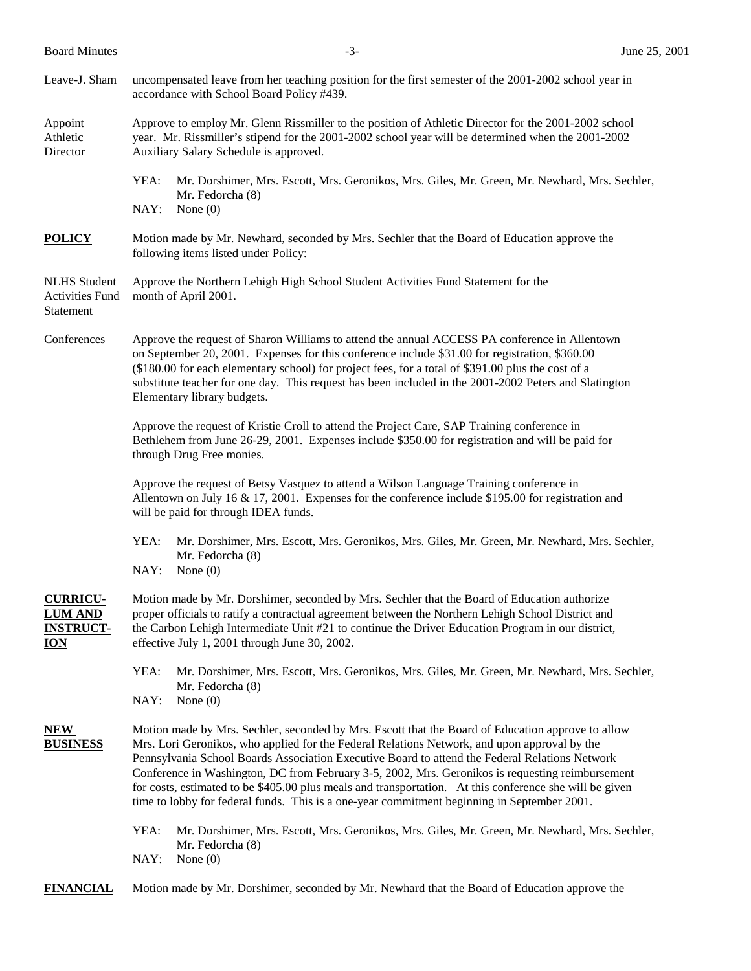Board Minutes  $-3$ -<br>Board Minutes June 25, 2001

| Leave-J. Sham                                                       | uncompensated leave from her teaching position for the first semester of the 2001-2002 school year in<br>accordance with School Board Policy #439.                                                                                                                                                                                                                                                                                                                                                                                                                                                                |  |  |  |
|---------------------------------------------------------------------|-------------------------------------------------------------------------------------------------------------------------------------------------------------------------------------------------------------------------------------------------------------------------------------------------------------------------------------------------------------------------------------------------------------------------------------------------------------------------------------------------------------------------------------------------------------------------------------------------------------------|--|--|--|
| Appoint<br>Athletic<br>Director                                     | Approve to employ Mr. Glenn Rissmiller to the position of Athletic Director for the 2001-2002 school<br>year. Mr. Rissmiller's stipend for the 2001-2002 school year will be determined when the 2001-2002<br>Auxiliary Salary Schedule is approved.                                                                                                                                                                                                                                                                                                                                                              |  |  |  |
|                                                                     | YEA:<br>Mr. Dorshimer, Mrs. Escott, Mrs. Geronikos, Mrs. Giles, Mr. Green, Mr. Newhard, Mrs. Sechler,<br>Mr. Fedorcha (8)<br>NAY:<br>None $(0)$                                                                                                                                                                                                                                                                                                                                                                                                                                                                   |  |  |  |
| <b>POLICY</b>                                                       | Motion made by Mr. Newhard, seconded by Mrs. Sechler that the Board of Education approve the<br>following items listed under Policy:                                                                                                                                                                                                                                                                                                                                                                                                                                                                              |  |  |  |
| <b>NLHS</b> Student<br><b>Activities Fund</b><br>Statement          | Approve the Northern Lehigh High School Student Activities Fund Statement for the<br>month of April 2001.                                                                                                                                                                                                                                                                                                                                                                                                                                                                                                         |  |  |  |
| Conferences                                                         | Approve the request of Sharon Williams to attend the annual ACCESS PA conference in Allentown<br>on September 20, 2001. Expenses for this conference include \$31.00 for registration, \$360.00<br>(\$180.00 for each elementary school) for project fees, for a total of \$391.00 plus the cost of a<br>substitute teacher for one day. This request has been included in the 2001-2002 Peters and Slatington<br>Elementary library budgets.                                                                                                                                                                     |  |  |  |
|                                                                     | Approve the request of Kristie Croll to attend the Project Care, SAP Training conference in<br>Bethlehem from June 26-29, 2001. Expenses include \$350.00 for registration and will be paid for<br>through Drug Free monies.                                                                                                                                                                                                                                                                                                                                                                                      |  |  |  |
|                                                                     | Approve the request of Betsy Vasquez to attend a Wilson Language Training conference in<br>Allentown on July 16 & 17, 2001. Expenses for the conference include \$195.00 for registration and<br>will be paid for through IDEA funds.                                                                                                                                                                                                                                                                                                                                                                             |  |  |  |
|                                                                     | YEA:<br>Mr. Dorshimer, Mrs. Escott, Mrs. Geronikos, Mrs. Giles, Mr. Green, Mr. Newhard, Mrs. Sechler,<br>Mr. Fedorcha (8)<br>NAY:<br>None $(0)$                                                                                                                                                                                                                                                                                                                                                                                                                                                                   |  |  |  |
| <b>CURRICU-</b><br><b>LUM AND</b><br><b>INSTRUCT-</b><br><b>ION</b> | Motion made by Mr. Dorshimer, seconded by Mrs. Sechler that the Board of Education authorize<br>proper officials to ratify a contractual agreement between the Northern Lehigh School District and<br>the Carbon Lehigh Intermediate Unit #21 to continue the Driver Education Program in our district,<br>effective July 1, 2001 through June 30, 2002.                                                                                                                                                                                                                                                          |  |  |  |
|                                                                     | YEA:<br>Mr. Dorshimer, Mrs. Escott, Mrs. Geronikos, Mrs. Giles, Mr. Green, Mr. Newhard, Mrs. Sechler,<br>Mr. Fedorcha (8)<br>NAY:<br>None $(0)$                                                                                                                                                                                                                                                                                                                                                                                                                                                                   |  |  |  |
| NEW<br><b>BUSINESS</b>                                              | Motion made by Mrs. Sechler, seconded by Mrs. Escott that the Board of Education approve to allow<br>Mrs. Lori Geronikos, who applied for the Federal Relations Network, and upon approval by the<br>Pennsylvania School Boards Association Executive Board to attend the Federal Relations Network<br>Conference in Washington, DC from February 3-5, 2002, Mrs. Geronikos is requesting reimbursement<br>for costs, estimated to be \$405.00 plus meals and transportation. At this conference she will be given<br>time to lobby for federal funds. This is a one-year commitment beginning in September 2001. |  |  |  |
|                                                                     | YEA:<br>Mr. Dorshimer, Mrs. Escott, Mrs. Geronikos, Mrs. Giles, Mr. Green, Mr. Newhard, Mrs. Sechler,<br>Mr. Fedorcha (8)<br>NAY:<br>None $(0)$                                                                                                                                                                                                                                                                                                                                                                                                                                                                   |  |  |  |
| <b>FINANCIAL</b>                                                    | Motion made by Mr. Dorshimer, seconded by Mr. Newhard that the Board of Education approve the                                                                                                                                                                                                                                                                                                                                                                                                                                                                                                                     |  |  |  |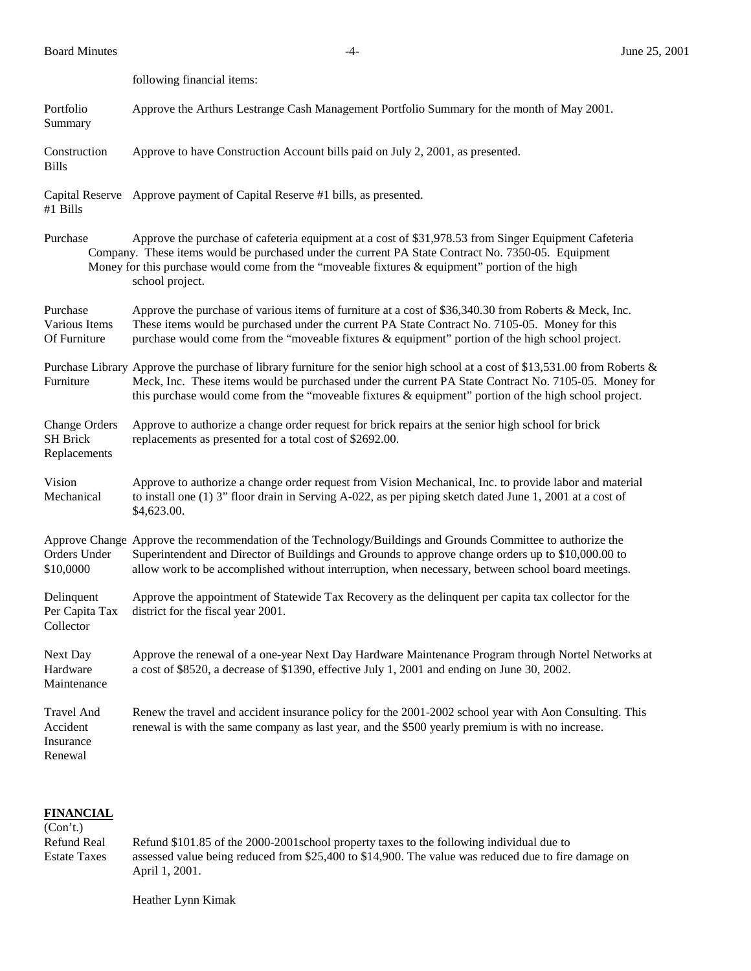Board Minutes -4- June 25, 2001

following financial items:

Portfolio Approve the Arthurs Lestrange Cash Management Portfolio Summary for the month of May 2001. Summary

Construction Approve to have Construction Account bills paid on July 2, 2001, as presented. Bills

Capital Reserve Approve payment of Capital Reserve #1 bills, as presented.

#1 Bills

Purchase Approve the purchase of cafeteria equipment at a cost of \$31,978.53 from Singer Equipment Cafeteria Company. These items would be purchased under the current PA State Contract No. 7350-05. Equipment Money for this purchase would come from the "moveable fixtures & equipment" portion of the high school project.

Purchase Approve the purchase of various items of furniture at a cost of \$36,340.30 from Roberts & Meck, Inc. Various Items These items would be purchased under the current PA State Contract No. 7105-05. Money for this Of Furniture purchase would come from the "moveable fixtures & equipment" portion of the high school project.

Purchase Library Approve the purchase of library furniture for the senior high school at a cost of \$13,531.00 from Roberts & Furniture Meck, Inc. These items would be purchased under the current PA State Contract No. 7105-05. Money for this purchase would come from the "moveable fixtures & equipment" portion of the high school project.

Change Orders Approve to authorize a change order request for brick repairs at the senior high school for brick SH Brick replacements as presented for a total cost of \$2692.00. Replacements

Vision Approve to authorize a change order request from Vision Mechanical, Inc. to provide labor and material Mechanical to install one (1) 3" floor drain in Serving A-022, as per piping sketch dated June 1, 2001 at a cost of \$4,623.00.

Approve Change Approve the recommendation of the Technology/Buildings and Grounds Committee to authorize the Orders Under Superintendent and Director of Buildings and Grounds to approve change orders up to \$10,000.00 to \$10,0000 allow work to be accomplished without interruption, when necessary, between school board meetings.

Delinquent Approve the appointment of Statewide Tax Recovery as the delinquent per capita tax collector for the Per Capita Tax district for the fiscal year 2001. Collector

Next Day Approve the renewal of a one-year Next Day Hardware Maintenance Program through Nortel Networks at Hardware a cost of \$8520, a decrease of \$1390, effective July 1, 2001 and ending on June 30, 2002. Maintenance

Travel And Renew the travel and accident insurance policy for the 2001-2002 school year with Aon Consulting. This Accident renewal is with the same company as last year, and the \$500 yearly premium is with no increase. Insurance Renewal

**FINANCIAL**  $(C<sub>on</sub>'t)$ 

| $\overline{C}$      |                                                                                                     |  |  |
|---------------------|-----------------------------------------------------------------------------------------------------|--|--|
| Refund Real         | Refund \$101.85 of the 2000-2001 school property taxes to the following individual due to           |  |  |
| <b>Estate Taxes</b> | assessed value being reduced from \$25,400 to \$14,900. The value was reduced due to fire damage on |  |  |
|                     | April 1, 2001.                                                                                      |  |  |

Heather Lynn Kimak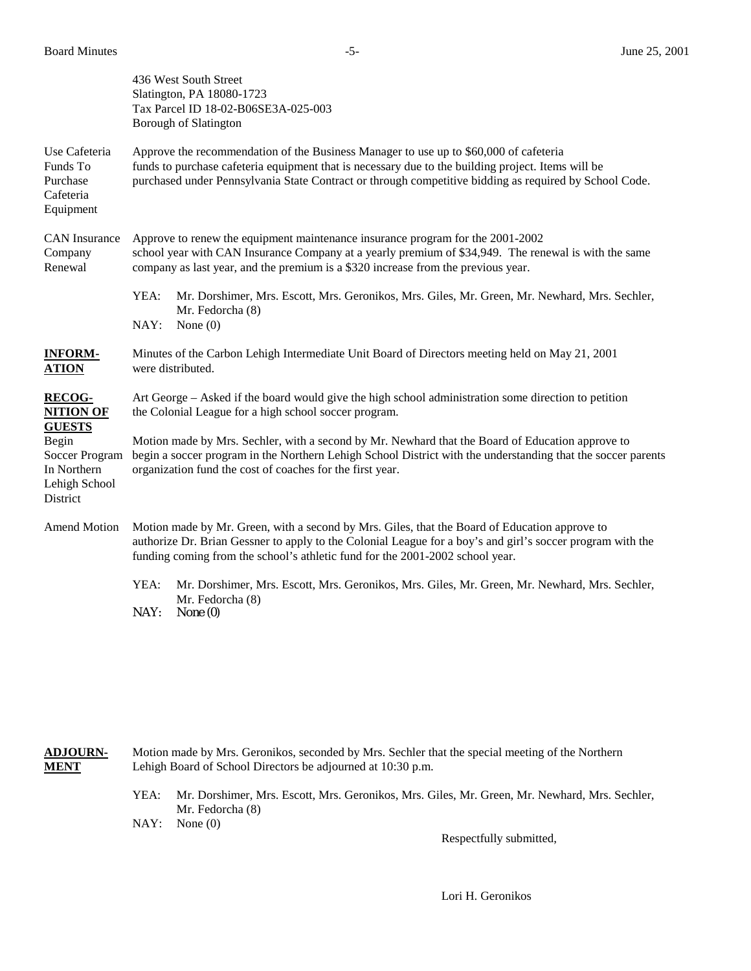|                                                                     | 436 West South Street<br>Slatington, PA 18080-1723<br>Tax Parcel ID 18-02-B06SE3A-025-003<br><b>Borough of Slatington</b>                                                                                                                                                                             |  |  |  |  |
|---------------------------------------------------------------------|-------------------------------------------------------------------------------------------------------------------------------------------------------------------------------------------------------------------------------------------------------------------------------------------------------|--|--|--|--|
| Use Cafeteria<br>Funds To<br>Purchase<br>Cafeteria<br>Equipment     | Approve the recommendation of the Business Manager to use up to \$60,000 of cafeteria<br>funds to purchase cafeteria equipment that is necessary due to the building project. Items will be<br>purchased under Pennsylvania State Contract or through competitive bidding as required by School Code. |  |  |  |  |
| <b>CAN</b> Insurance<br>Company<br>Renewal                          | Approve to renew the equipment maintenance insurance program for the 2001-2002<br>school year with CAN Insurance Company at a yearly premium of \$34,949. The renewal is with the same<br>company as last year, and the premium is a \$320 increase from the previous year.                           |  |  |  |  |
|                                                                     | YEA:<br>Mr. Dorshimer, Mrs. Escott, Mrs. Geronikos, Mrs. Giles, Mr. Green, Mr. Newhard, Mrs. Sechler,<br>Mr. Fedorcha (8)<br>NAY:<br>None $(0)$                                                                                                                                                       |  |  |  |  |
| <b>INFORM-</b><br><b>ATION</b>                                      | Minutes of the Carbon Lehigh Intermediate Unit Board of Directors meeting held on May 21, 2001<br>were distributed.                                                                                                                                                                                   |  |  |  |  |
| <b>RECOG-</b><br><b>NITION OF</b><br><b>GUESTS</b>                  | Art George – Asked if the board would give the high school administration some direction to petition<br>the Colonial League for a high school soccer program.                                                                                                                                         |  |  |  |  |
| Begin<br>Soccer Program<br>In Northern<br>Lehigh School<br>District | Motion made by Mrs. Sechler, with a second by Mr. Newhard that the Board of Education approve to<br>begin a soccer program in the Northern Lehigh School District with the understanding that the soccer parents<br>organization fund the cost of coaches for the first year.                         |  |  |  |  |
| Amend Motion                                                        | Motion made by Mr. Green, with a second by Mrs. Giles, that the Board of Education approve to<br>authorize Dr. Brian Gessner to apply to the Colonial League for a boy's and girl's soccer program with the<br>funding coming from the school's athletic fund for the 2001-2002 school year.          |  |  |  |  |
|                                                                     | YEA:<br>Mr. Dorshimer, Mrs. Escott, Mrs. Geronikos, Mrs. Giles, Mr. Green, Mr. Newhard, Mrs. Sechler,<br>Mr. Fedorcha (8)<br>NAY:<br>None $(0)$                                                                                                                                                       |  |  |  |  |

| <b>ADJOURN-</b><br><b>MENT</b> | Motion made by Mrs. Geronikos, seconded by Mrs. Sechler that the special meeting of the Northern<br>Lehigh Board of School Directors be adjourned at 10:30 p.m. |                                                                                                                   |  |
|--------------------------------|-----------------------------------------------------------------------------------------------------------------------------------------------------------------|-------------------------------------------------------------------------------------------------------------------|--|
|                                | YEA:                                                                                                                                                            | Mr. Dorshimer, Mrs. Escott, Mrs. Geronikos, Mrs. Giles, Mr. Green, Mr. Newhard, Mrs. Sechler,<br>Mr. Fedorcha (8) |  |
|                                |                                                                                                                                                                 | NAY: None(0)                                                                                                      |  |
|                                |                                                                                                                                                                 | Respectfully submitted,                                                                                           |  |

Lori H. Geronikos